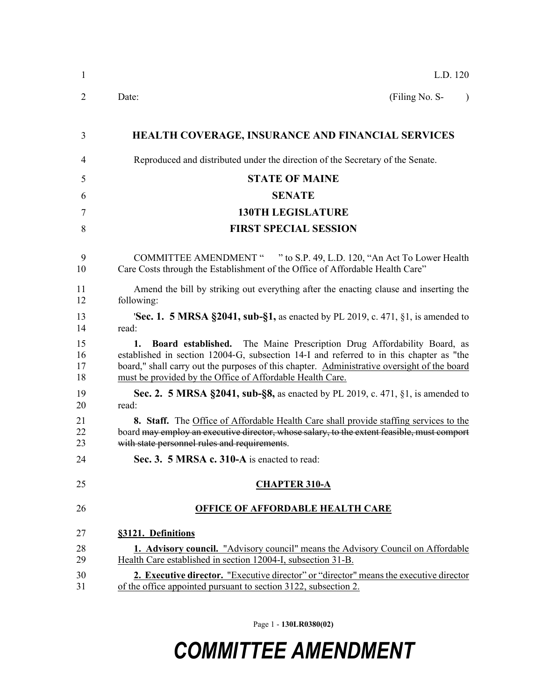| 1                    | L.D. 120                                                                                                                                                                                                                                                                                                                            |
|----------------------|-------------------------------------------------------------------------------------------------------------------------------------------------------------------------------------------------------------------------------------------------------------------------------------------------------------------------------------|
| 2                    | (Filing No. S-<br>Date:<br>$\lambda$                                                                                                                                                                                                                                                                                                |
| 3                    | HEALTH COVERAGE, INSURANCE AND FINANCIAL SERVICES                                                                                                                                                                                                                                                                                   |
| 4                    | Reproduced and distributed under the direction of the Secretary of the Senate.                                                                                                                                                                                                                                                      |
| 5                    | <b>STATE OF MAINE</b>                                                                                                                                                                                                                                                                                                               |
| 6                    | <b>SENATE</b>                                                                                                                                                                                                                                                                                                                       |
| 7                    | <b>130TH LEGISLATURE</b>                                                                                                                                                                                                                                                                                                            |
| 8                    | <b>FIRST SPECIAL SESSION</b>                                                                                                                                                                                                                                                                                                        |
| 9<br>10              | COMMITTEE AMENDMENT " " to S.P. 49, L.D. 120, "An Act To Lower Health<br>Care Costs through the Establishment of the Office of Affordable Health Care"                                                                                                                                                                              |
| 11<br>12             | Amend the bill by striking out everything after the enacting clause and inserting the<br>following:                                                                                                                                                                                                                                 |
| 13<br>14             | <b>Sec. 1. 5 MRSA §2041, sub-§1,</b> as enacted by PL 2019, c. 471, §1, is amended to<br>read:                                                                                                                                                                                                                                      |
| 15<br>16<br>17<br>18 | Board established. The Maine Prescription Drug Affordability Board, as<br>1.<br>established in section 12004-G, subsection 14-I and referred to in this chapter as "the<br>board," shall carry out the purposes of this chapter. Administrative oversight of the board<br>must be provided by the Office of Affordable Health Care. |
| 19<br>20             | <b>Sec. 2. 5 MRSA §2041, sub-§8,</b> as enacted by PL 2019, c. 471, §1, is amended to<br>read:                                                                                                                                                                                                                                      |
| 21<br>22<br>23       | <b>8.</b> Staff. The Office of Affordable Health Care shall provide staffing services to the<br>board may employ an executive director, whose salary, to the extent feasible, must comport<br>with state personnel rules and requirements.                                                                                          |
| 24                   | Sec. 3. 5 MRSA c. 310-A is enacted to read:                                                                                                                                                                                                                                                                                         |
| 25                   | <b>CHAPTER 310-A</b>                                                                                                                                                                                                                                                                                                                |
| 26                   | <b>OFFICE OF AFFORDABLE HEALTH CARE</b>                                                                                                                                                                                                                                                                                             |
| 27                   | §3121. Definitions                                                                                                                                                                                                                                                                                                                  |
| 28<br>29             | <b>1. Advisory council.</b> "Advisory council" means the Advisory Council on Affordable<br>Health Care established in section 12004-I, subsection 31-B.                                                                                                                                                                             |
| 30<br>31             | 2. Executive director. "Executive director" or "director" means the executive director<br>of the office appointed pursuant to section 3122, subsection 2.                                                                                                                                                                           |

Page 1 - **130LR0380(02)**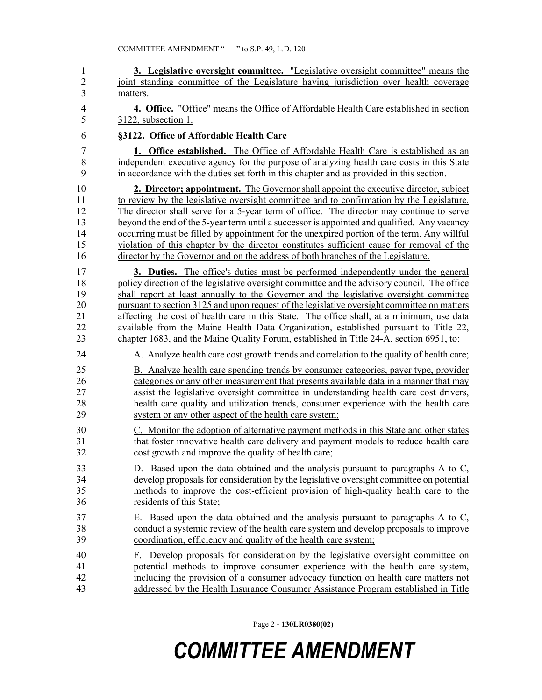| 1              | 3. Legislative oversight committee. "Legislative oversight committee" means the              |
|----------------|----------------------------------------------------------------------------------------------|
| $\overline{c}$ | joint standing committee of the Legislature having jurisdiction over health coverage         |
| 3              | matters.                                                                                     |
| 4              | 4. Office. "Office" means the Office of Affordable Health Care established in section        |
| 5              | 3122, subsection 1.                                                                          |
| 6              | §3122. Office of Affordable Health Care                                                      |
| 7              | <b>1. Office established.</b> The Office of Affordable Health Care is established as an      |
| 8              | independent executive agency for the purpose of analyzing health care costs in this State    |
| 9              | in accordance with the duties set forth in this chapter and as provided in this section.     |
| 10             | <b>2. Director; appointment.</b> The Governor shall appoint the executive director, subject  |
| 11             | to review by the legislative oversight committee and to confirmation by the Legislature.     |
| 12             | The director shall serve for a 5-year term of office. The director may continue to serve     |
| 13             | beyond the end of the 5-year term until a successor is appointed and qualified. Any vacancy  |
| 14             | occurring must be filled by appointment for the unexpired portion of the term. Any willful   |
| 15             | violation of this chapter by the director constitutes sufficient cause for removal of the    |
| 16             | director by the Governor and on the address of both branches of the Legislature.             |
| 17             | <b>3. Duties.</b> The office's duties must be performed independently under the general      |
| 18             | policy direction of the legislative oversight committee and the advisory council. The office |
| 19             | shall report at least annually to the Governor and the legislative oversight committee       |
| 20             | pursuant to section 3125 and upon request of the legislative oversight committee on matters  |
| 21             | affecting the cost of health care in this State. The office shall, at a minimum, use data    |
| 22             | available from the Maine Health Data Organization, established pursuant to Title 22,         |
| 23             | chapter 1683, and the Maine Quality Forum, established in Title 24-A, section 6951, to:      |
| 24             | A. Analyze health care cost growth trends and correlation to the quality of health care;     |
| 25             | B. Analyze health care spending trends by consumer categories, payer type, provider          |
| 26             | categories or any other measurement that presents available data in a manner that may        |
| 27             | assist the legislative oversight committee in understanding health care cost drivers,        |
| 28             | health care quality and utilization trends, consumer experience with the health care         |
| 29             | system or any other aspect of the health care system;                                        |
| 30             | C. Monitor the adoption of alternative payment methods in this State and other states        |
| 31             | that foster innovative health care delivery and payment models to reduce health care         |
| 32             | cost growth and improve the quality of health care;                                          |
| 33             | D. Based upon the data obtained and the analysis pursuant to paragraphs A to C,              |
| 34             | develop proposals for consideration by the legislative oversight committee on potential      |
| 35             | methods to improve the cost-efficient provision of high-quality health care to the           |
| 36             | residents of this State;                                                                     |
| 37             | E. Based upon the data obtained and the analysis pursuant to paragraphs A to C,              |
| 38             | conduct a systemic review of the health care system and develop proposals to improve         |
| 39             | coordination, efficiency and quality of the health care system;                              |
| 40             | Develop proposals for consideration by the legislative oversight committee on                |
| 41             | potential methods to improve consumer experience with the health care system,                |
| 42             | including the provision of a consumer advocacy function on health care matters not           |
| 43             | addressed by the Health Insurance Consumer Assistance Program established in Title           |

Page 2 - **130LR0380(02)**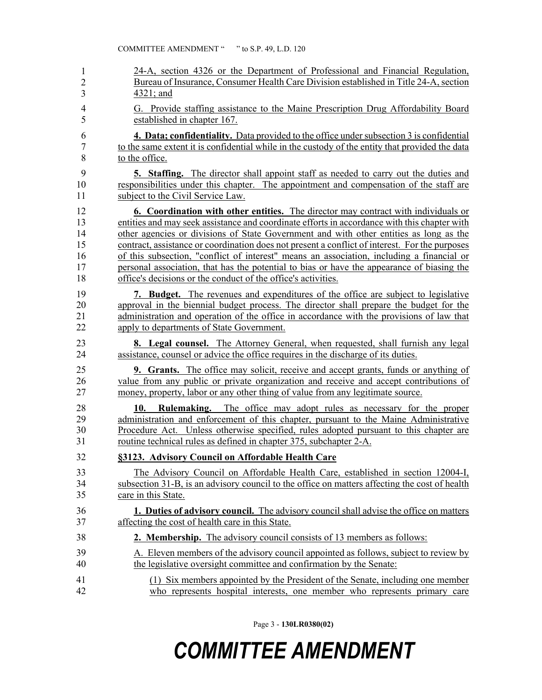| 1                    | 24-A, section 4326 or the Department of Professional and Financial Regulation,                                                                                                                                                                                                                                                          |
|----------------------|-----------------------------------------------------------------------------------------------------------------------------------------------------------------------------------------------------------------------------------------------------------------------------------------------------------------------------------------|
| $\overline{2}$       | Bureau of Insurance, Consumer Health Care Division established in Title 24-A, section                                                                                                                                                                                                                                                   |
| 3                    | 4321; and                                                                                                                                                                                                                                                                                                                               |
| 4                    | G. Provide staffing assistance to the Maine Prescription Drug Affordability Board                                                                                                                                                                                                                                                       |
| 5                    | established in chapter 167.                                                                                                                                                                                                                                                                                                             |
| 6                    | <b>4. Data; confidentiality.</b> Data provided to the office under subsection 3 is confidential                                                                                                                                                                                                                                         |
| 7                    | to the same extent it is confidential while in the custody of the entity that provided the data                                                                                                                                                                                                                                         |
| 8                    | to the office.                                                                                                                                                                                                                                                                                                                          |
| 9                    | <b>5. Staffing.</b> The director shall appoint staff as needed to carry out the duties and                                                                                                                                                                                                                                              |
| 10                   | responsibilities under this chapter. The appointment and compensation of the staff are                                                                                                                                                                                                                                                  |
| 11                   | subject to the Civil Service Law.                                                                                                                                                                                                                                                                                                       |
| 12                   | <b>6. Coordination with other entities.</b> The director may contract with individuals or                                                                                                                                                                                                                                               |
| 13                   | entities and may seek assistance and coordinate efforts in accordance with this chapter with                                                                                                                                                                                                                                            |
| 14                   | other agencies or divisions of State Government and with other entities as long as the                                                                                                                                                                                                                                                  |
| 15                   | contract, assistance or coordination does not present a conflict of interest. For the purposes                                                                                                                                                                                                                                          |
| 16                   | of this subsection, "conflict of interest" means an association, including a financial or                                                                                                                                                                                                                                               |
| 17                   | personal association, that has the potential to bias or have the appearance of biasing the                                                                                                                                                                                                                                              |
| 18                   | office's decisions or the conduct of the office's activities.                                                                                                                                                                                                                                                                           |
| 19                   | <b>7. Budget.</b> The revenues and expenditures of the office are subject to legislative                                                                                                                                                                                                                                                |
| 20                   | approval in the biennial budget process. The director shall prepare the budget for the                                                                                                                                                                                                                                                  |
| 21                   | administration and operation of the office in accordance with the provisions of law that                                                                                                                                                                                                                                                |
| 22                   | apply to departments of State Government.                                                                                                                                                                                                                                                                                               |
| 23                   | <b>8.</b> Legal counsel. The Attorney General, when requested, shall furnish any legal                                                                                                                                                                                                                                                  |
| 24                   | assistance, counsel or advice the office requires in the discharge of its duties.                                                                                                                                                                                                                                                       |
| 25                   | <b>9. Grants.</b> The office may solicit, receive and accept grants, funds or anything of                                                                                                                                                                                                                                               |
| 26                   | value from any public or private organization and receive and accept contributions of                                                                                                                                                                                                                                                   |
| 27                   | money, property, labor or any other thing of value from any legitimate source.                                                                                                                                                                                                                                                          |
| 28<br>29<br>30<br>31 | 10.<br><b>Rulemaking.</b> The office may adopt rules as necessary for the proper<br>administration and enforcement of this chapter, pursuant to the Maine Administrative<br>Procedure Act. Unless otherwise specified, rules adopted pursuant to this chapter are<br>routine technical rules as defined in chapter 375, subchapter 2-A. |
| 32                   | §3123. Advisory Council on Affordable Health Care                                                                                                                                                                                                                                                                                       |
| 33                   | The Advisory Council on Affordable Health Care, established in section 12004-I,                                                                                                                                                                                                                                                         |
| 34                   | subsection 31-B, is an advisory council to the office on matters affecting the cost of health                                                                                                                                                                                                                                           |
| 35                   | care in this State.                                                                                                                                                                                                                                                                                                                     |
| 36                   | 1. Duties of advisory council. The advisory council shall advise the office on matters                                                                                                                                                                                                                                                  |
| 37                   | affecting the cost of health care in this State.                                                                                                                                                                                                                                                                                        |
| 38                   | 2. Membership. The advisory council consists of 13 members as follows:                                                                                                                                                                                                                                                                  |
| 39                   | A. Eleven members of the advisory council appointed as follows, subject to review by                                                                                                                                                                                                                                                    |
| 40                   | the legislative oversight committee and confirmation by the Senate:                                                                                                                                                                                                                                                                     |
| 41                   | (1) Six members appointed by the President of the Senate, including one member                                                                                                                                                                                                                                                          |
| 42                   | who represents hospital interests, one member who represents primary care                                                                                                                                                                                                                                                               |

Page 3 - **130LR0380(02)**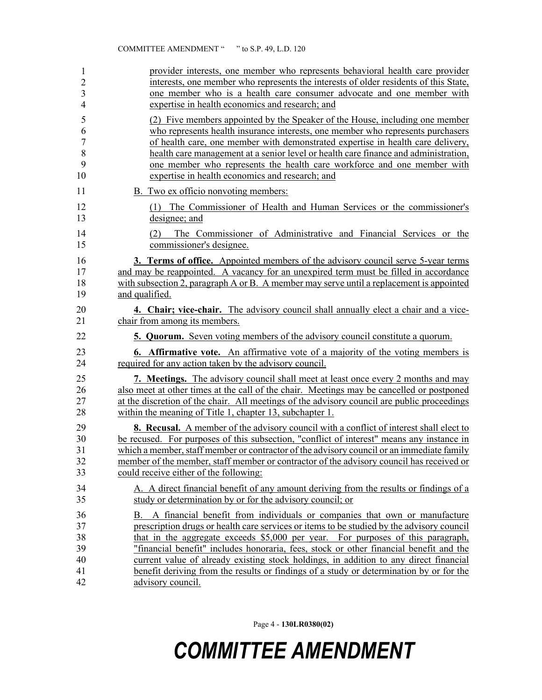| 1              | provider interests, one member who represents behavioral health care provider                       |
|----------------|-----------------------------------------------------------------------------------------------------|
| $\overline{c}$ | interests, one member who represents the interests of older residents of this State,                |
| 3              | one member who is a health care consumer advocate and one member with                               |
| $\overline{4}$ | expertise in health economics and research; and                                                     |
| 5              | (2) Five members appointed by the Speaker of the House, including one member                        |
| 6              | who represents health insurance interests, one member who represents purchasers                     |
| $\overline{7}$ | of health care, one member with demonstrated expertise in health care delivery,                     |
| 8              | health care management at a senior level or health care finance and administration,                 |
| 9              | one member who represents the health care workforce and one member with                             |
| 10             | expertise in health economics and research; and                                                     |
| 11             | B. Two ex officio nonvoting members:                                                                |
| 12             | (1) The Commissioner of Health and Human Services or the commissioner's                             |
| 13             | designee; and                                                                                       |
| 14<br>15       | The Commissioner of Administrative and Financial Services or the<br>(2)<br>commissioner's designee. |
| 16             | <b>3. Terms of office.</b> Appointed members of the advisory council serve 5-year terms             |
| 17             | and may be reappointed. A vacancy for an unexpired term must be filled in accordance                |
| 18             | with subsection 2, paragraph A or B. A member may serve until a replacement is appointed            |
| 19             | and qualified.                                                                                      |
| 20             | 4. Chair; vice-chair. The advisory council shall annually elect a chair and a vice-                 |
| 21             | chair from among its members.                                                                       |
| 22             | <b>5. Quorum.</b> Seven voting members of the advisory council constitute a quorum.                 |
| 23             | <b>6.</b> Affirmative vote. An affirmative vote of a majority of the voting members is              |
| 24             | required for any action taken by the advisory council.                                              |
| 25             | <b>7. Meetings.</b> The advisory council shall meet at least once every 2 months and may            |
| 26             | also meet at other times at the call of the chair. Meetings may be cancelled or postponed           |
| 27             | at the discretion of the chair. All meetings of the advisory council are public proceedings         |
| 28             | within the meaning of Title 1, chapter 13, subchapter 1.                                            |
| 29             | <b>8. Recusal.</b> A member of the advisory council with a conflict of interest shall elect to      |
| 30             | be recused. For purposes of this subsection, "conflict of interest" means any instance in           |
| 31             | which a member, staff member or contractor of the advisory council or an immediate family           |
| 32             | member of the member, staff member or contractor of the advisory council has received or            |
| 33             | could receive either of the following:                                                              |
| 34             | A. A direct financial benefit of any amount deriving from the results or findings of a              |
| 35             | study or determination by or for the advisory council; or                                           |
| 36             | B. A financial benefit from individuals or companies that own or manufacture                        |
| 37             | prescription drugs or health care services or items to be studied by the advisory council           |
| 38             | that in the aggregate exceeds \$5,000 per year. For purposes of this paragraph,                     |
| 39             | "financial benefit" includes honoraria, fees, stock or other financial benefit and the              |
| 40             | current value of already existing stock holdings, in addition to any direct financial               |
| 41             | benefit deriving from the results or findings of a study or determination by or for the             |
| 42             | advisory council.                                                                                   |

Page 4 - **130LR0380(02)**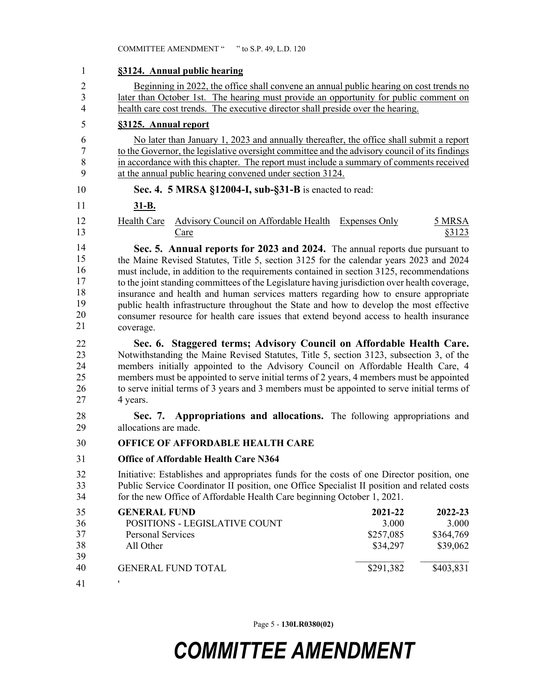| 1                                            |                                                                                                                                                                                                                                                                                                                                                                                                                                                                                                                                                                                                                                                              | §3124. Annual public hearing                                                                                                                                                                                                                                                                                                                                                                                                                   |  |           |                  |  |
|----------------------------------------------|--------------------------------------------------------------------------------------------------------------------------------------------------------------------------------------------------------------------------------------------------------------------------------------------------------------------------------------------------------------------------------------------------------------------------------------------------------------------------------------------------------------------------------------------------------------------------------------------------------------------------------------------------------------|------------------------------------------------------------------------------------------------------------------------------------------------------------------------------------------------------------------------------------------------------------------------------------------------------------------------------------------------------------------------------------------------------------------------------------------------|--|-----------|------------------|--|
| $\overline{c}$                               | Beginning in 2022, the office shall convene an annual public hearing on cost trends no                                                                                                                                                                                                                                                                                                                                                                                                                                                                                                                                                                       |                                                                                                                                                                                                                                                                                                                                                                                                                                                |  |           |                  |  |
| $\overline{\mathbf{3}}$                      | later than October 1st. The hearing must provide an opportunity for public comment on                                                                                                                                                                                                                                                                                                                                                                                                                                                                                                                                                                        |                                                                                                                                                                                                                                                                                                                                                                                                                                                |  |           |                  |  |
| $\overline{4}$                               | health care cost trends. The executive director shall preside over the hearing.                                                                                                                                                                                                                                                                                                                                                                                                                                                                                                                                                                              |                                                                                                                                                                                                                                                                                                                                                                                                                                                |  |           |                  |  |
| 5                                            |                                                                                                                                                                                                                                                                                                                                                                                                                                                                                                                                                                                                                                                              | §3125. Annual report                                                                                                                                                                                                                                                                                                                                                                                                                           |  |           |                  |  |
| 6                                            |                                                                                                                                                                                                                                                                                                                                                                                                                                                                                                                                                                                                                                                              | No later than January 1, 2023 and annually thereafter, the office shall submit a report                                                                                                                                                                                                                                                                                                                                                        |  |           |                  |  |
| $\boldsymbol{7}$                             |                                                                                                                                                                                                                                                                                                                                                                                                                                                                                                                                                                                                                                                              | to the Governor, the legislative oversight committee and the advisory council of its findings                                                                                                                                                                                                                                                                                                                                                  |  |           |                  |  |
| 8<br>9                                       |                                                                                                                                                                                                                                                                                                                                                                                                                                                                                                                                                                                                                                                              | in accordance with this chapter. The report must include a summary of comments received<br>at the annual public hearing convened under section 3124.                                                                                                                                                                                                                                                                                           |  |           |                  |  |
| 10                                           |                                                                                                                                                                                                                                                                                                                                                                                                                                                                                                                                                                                                                                                              | Sec. 4. 5 MRSA §12004-I, sub-§31-B is enacted to read:                                                                                                                                                                                                                                                                                                                                                                                         |  |           |                  |  |
| 11                                           | $31 - B$ .                                                                                                                                                                                                                                                                                                                                                                                                                                                                                                                                                                                                                                                   |                                                                                                                                                                                                                                                                                                                                                                                                                                                |  |           |                  |  |
| 12<br>13                                     | <b>Health Care</b>                                                                                                                                                                                                                                                                                                                                                                                                                                                                                                                                                                                                                                           | <b>Advisory Council on Affordable Health Expenses Only</b><br>Care                                                                                                                                                                                                                                                                                                                                                                             |  |           | 5 MRSA<br>\$3123 |  |
| 14<br>15<br>16<br>17<br>18<br>19<br>20<br>21 | Sec. 5. Annual reports for 2023 and 2024. The annual reports due pursuant to<br>the Maine Revised Statutes, Title 5, section 3125 for the calendar years 2023 and 2024<br>must include, in addition to the requirements contained in section 3125, recommendations<br>to the joint standing committees of the Legislature having jurisdiction over health coverage,<br>insurance and health and human services matters regarding how to ensure appropriate<br>public health infrastructure throughout the State and how to develop the most effective<br>consumer resource for health care issues that extend beyond access to health insurance<br>coverage. |                                                                                                                                                                                                                                                                                                                                                                                                                                                |  |           |                  |  |
| 22<br>23<br>24<br>25<br>26<br>27             | 4 years.                                                                                                                                                                                                                                                                                                                                                                                                                                                                                                                                                                                                                                                     | Sec. 6. Staggered terms; Advisory Council on Affordable Health Care.<br>Notwithstanding the Maine Revised Statutes, Title 5, section 3123, subsection 3, of the<br>members initially appointed to the Advisory Council on Affordable Health Care, 4<br>members must be appointed to serve initial terms of 2 years, 4 members must be appointed<br>to serve initial terms of 3 years and 3 members must be appointed to serve initial terms of |  |           |                  |  |
| 28<br>29                                     | allocations are made.                                                                                                                                                                                                                                                                                                                                                                                                                                                                                                                                                                                                                                        | Sec. 7. Appropriations and allocations. The following appropriations and                                                                                                                                                                                                                                                                                                                                                                       |  |           |                  |  |
| 30                                           |                                                                                                                                                                                                                                                                                                                                                                                                                                                                                                                                                                                                                                                              | <b>OFFICE OF AFFORDABLE HEALTH CARE</b>                                                                                                                                                                                                                                                                                                                                                                                                        |  |           |                  |  |
| 31                                           |                                                                                                                                                                                                                                                                                                                                                                                                                                                                                                                                                                                                                                                              | <b>Office of Affordable Health Care N364</b>                                                                                                                                                                                                                                                                                                                                                                                                   |  |           |                  |  |
| 32<br>33<br>34                               | Initiative: Establishes and appropriates funds for the costs of one Director position, one<br>Public Service Coordinator II position, one Office Specialist II position and related costs<br>for the new Office of Affordable Health Care beginning October 1, 2021.                                                                                                                                                                                                                                                                                                                                                                                         |                                                                                                                                                                                                                                                                                                                                                                                                                                                |  |           |                  |  |
| 35                                           | <b>GENERAL FUND</b>                                                                                                                                                                                                                                                                                                                                                                                                                                                                                                                                                                                                                                          |                                                                                                                                                                                                                                                                                                                                                                                                                                                |  | 2021-22   | 2022-23          |  |
| 36                                           |                                                                                                                                                                                                                                                                                                                                                                                                                                                                                                                                                                                                                                                              | POSITIONS - LEGISLATIVE COUNT                                                                                                                                                                                                                                                                                                                                                                                                                  |  | 3.000     | 3.000            |  |
| 37                                           | <b>Personal Services</b>                                                                                                                                                                                                                                                                                                                                                                                                                                                                                                                                                                                                                                     |                                                                                                                                                                                                                                                                                                                                                                                                                                                |  | \$257,085 | \$364,769        |  |
| 38<br>39                                     | All Other                                                                                                                                                                                                                                                                                                                                                                                                                                                                                                                                                                                                                                                    |                                                                                                                                                                                                                                                                                                                                                                                                                                                |  | \$34,297  | \$39,062         |  |
| 40                                           |                                                                                                                                                                                                                                                                                                                                                                                                                                                                                                                                                                                                                                                              | <b>GENERAL FUND TOTAL</b>                                                                                                                                                                                                                                                                                                                                                                                                                      |  | \$291,382 | \$403,831        |  |
| 41                                           | ,                                                                                                                                                                                                                                                                                                                                                                                                                                                                                                                                                                                                                                                            |                                                                                                                                                                                                                                                                                                                                                                                                                                                |  |           |                  |  |

Page 5 - **130LR0380(02)**